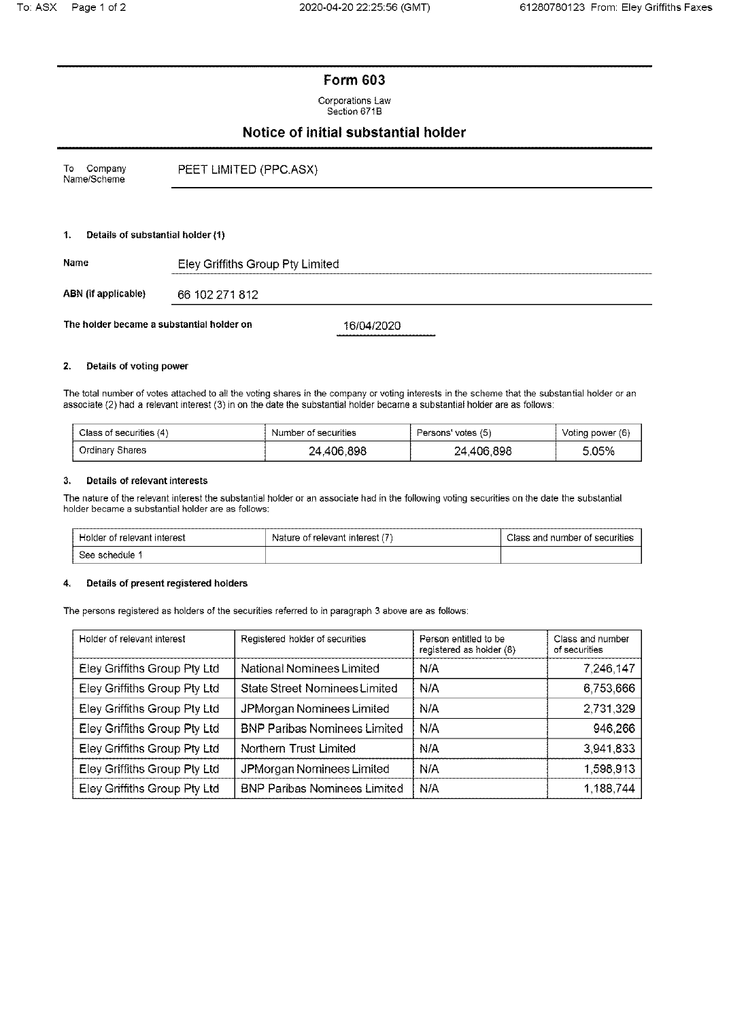# **Form 603**

Corporations Law Section 671B

# Notice of initial substantial holder

| To Company<br>Name/Scheme |                                   | PEET LIMITED (PPC.ASX) |
|---------------------------|-----------------------------------|------------------------|
|                           |                                   |                        |
| 1.                        | Details of substantial holder (1) |                        |

| Name                                      | Eley Griffiths Group Pty Limited |            |  |
|-------------------------------------------|----------------------------------|------------|--|
| ABN (if applicable)                       | 66 102 271 812                   |            |  |
| The holder became a substantial holder on |                                  | 16/04/2020 |  |

#### $2.$ Details of voting power

The total number of votes attached to all the voting shares in the company or voting interests in the scheme that the substantial holder or an associate (2) had a relevant interest (3) in on the date the substantial holder became a substantial holder are as follows:

| Class of securities (4) | Number of securities | Persons' votes (5) | Voting power (6) |
|-------------------------|----------------------|--------------------|------------------|
| Ordinary Shares         | 24,406,898           | 24,406,898         | 5.05%            |

### **Details of relevant interests**  $\mathbf{3}$

The nature of the relevant interest the substantial holder or an associate had in the following voting securities on the date the substantial holder became a substantial holder are as follows:

| Holder of relevant interest | Nature of relevant interest (7) | Class and number of securities |  |
|-----------------------------|---------------------------------|--------------------------------|--|
| . See schedule 1            |                                 |                                |  |

## Details of present registered holders 4.

The persons registered as holders of the securities referred to in paragraph 3 above are as follows:

| Holder of relevant interest  | Registered holder of securities      | Person entitled to be<br>registered as holder (8) | Class and number<br>of securities |
|------------------------------|--------------------------------------|---------------------------------------------------|-----------------------------------|
| Eley Griffiths Group Pty Ltd | National Nominees Limited            | N/A                                               | 7,246,147                         |
| Eley Griffiths Group Pty Ltd | <b>State Street Nominees Limited</b> | N/A                                               | 6,753,666                         |
| Eley Griffiths Group Pty Ltd | JPMorgan Nominees Limited            | N/A                                               | 2,731,329                         |
| Eley Griffiths Group Pty Ltd | <b>BNP Paribas Nominees Limited</b>  | N/A                                               | 946,266                           |
| Eley Griffiths Group Pty Ltd | Northern Trust Limited               | N/A                                               | 3,941,833                         |
| Eley Griffiths Group Pty Ltd | JPMorgan Nominees Limited            | N/A                                               | 1,598,913                         |
| Eley Griffiths Group Pty Ltd | <b>BNP Paribas Nominees Limited</b>  | N/A                                               | 1.188,744                         |